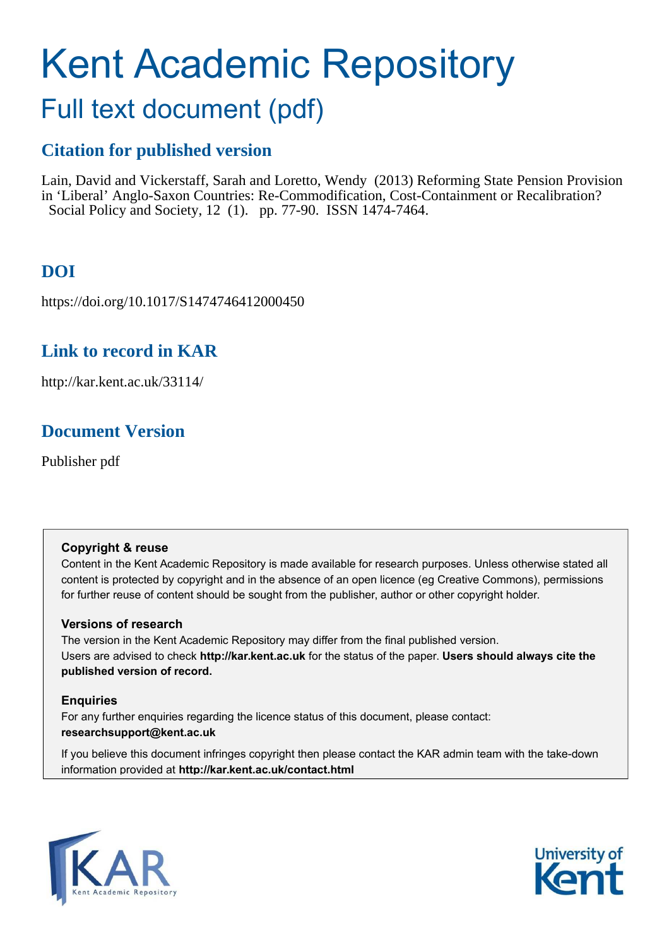# Kent Academic Repository

## Full text document (pdf)

## **Citation for published version**

Lain, David and Vickerstaff, Sarah and Loretto, Wendy (2013) Reforming State Pension Provision in 'Liberal' Anglo-Saxon Countries: Re-Commodification, Cost-Containment or Recalibration? Social Policy and Society, 12 (1). pp. 77-90. ISSN 1474-7464.

## **DOI**

https://doi.org/10.1017/S1474746412000450

## **Link to record in KAR**

http://kar.kent.ac.uk/33114/

## **Document Version**

Publisher pdf

#### **Copyright & reuse**

Content in the Kent Academic Repository is made available for research purposes. Unless otherwise stated all content is protected by copyright and in the absence of an open licence (eg Creative Commons), permissions for further reuse of content should be sought from the publisher, author or other copyright holder.

#### **Versions of research**

The version in the Kent Academic Repository may differ from the final published version. Users are advised to check **http://kar.kent.ac.uk** for the status of the paper. **Users should always cite the published version of record.**

#### **Enquiries**

For any further enquiries regarding the licence status of this document, please contact: **researchsupport@kent.ac.uk**

If you believe this document infringes copyright then please contact the KAR admin team with the take-down information provided at **http://kar.kent.ac.uk/contact.html**



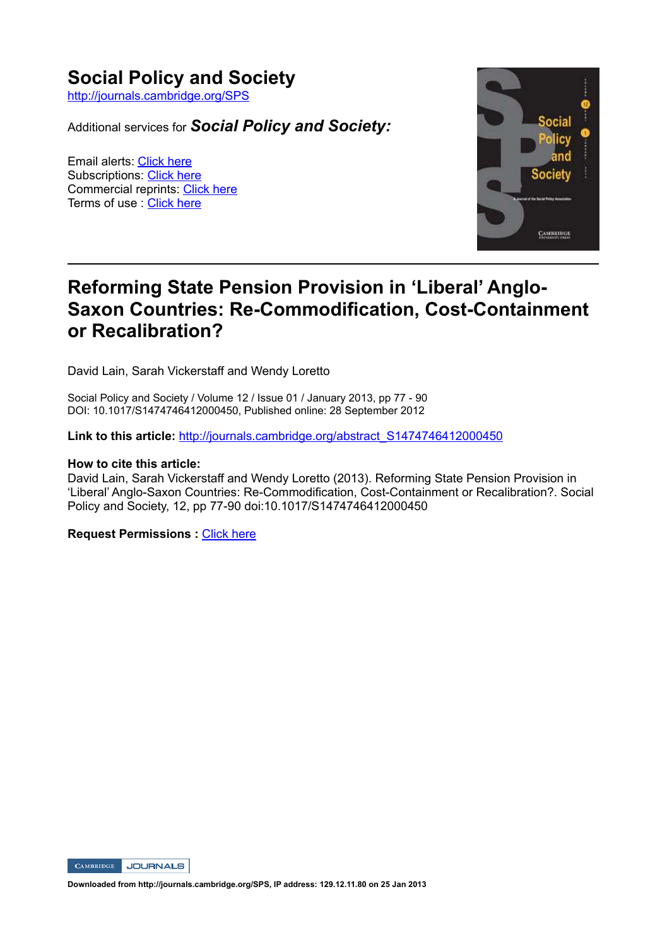### **Social Policy and Society**

http://journals.cambridge.org/SPS

Additional services for **Social Policy and Society:** 

Email alerts: Click here Subscriptions: Click here Commercial reprints: Click here Terms of use : Click here



## **Reforming State Pension Provision in 'Liberal' Anglo-Saxon Countries: Re-Commodification, Cost-Containment** or Recalibration?

David Lain, Sarah Vickerstaff and Wendy Loretto

Social Policy and Society / Volume 12 / Issue 01 / January 2013, pp 77 - 90 DOI: 10.1017/S1474746412000450, Published online: 28 September 2012

**Link to this article:** http://journals.cambridge.org/abstract S1474746412000450

#### **How to cite this article:**

David Lain, Sarah Vickerstaff and Wendy Loretto (2013). Reforming State Pension Provision in 'Liberal' Anglo-Saxon Countries: Re-Commodification, Cost-Containment or Recalibration?. Social Policy and Society, 12, pp 77-90 doi:10.1017/S1474746412000450

**Request Permissions: Click here** 



Downloaded from http://journals.cambridge.org/SPS, IP address: 129.12.11.80 on 25 Jan 2013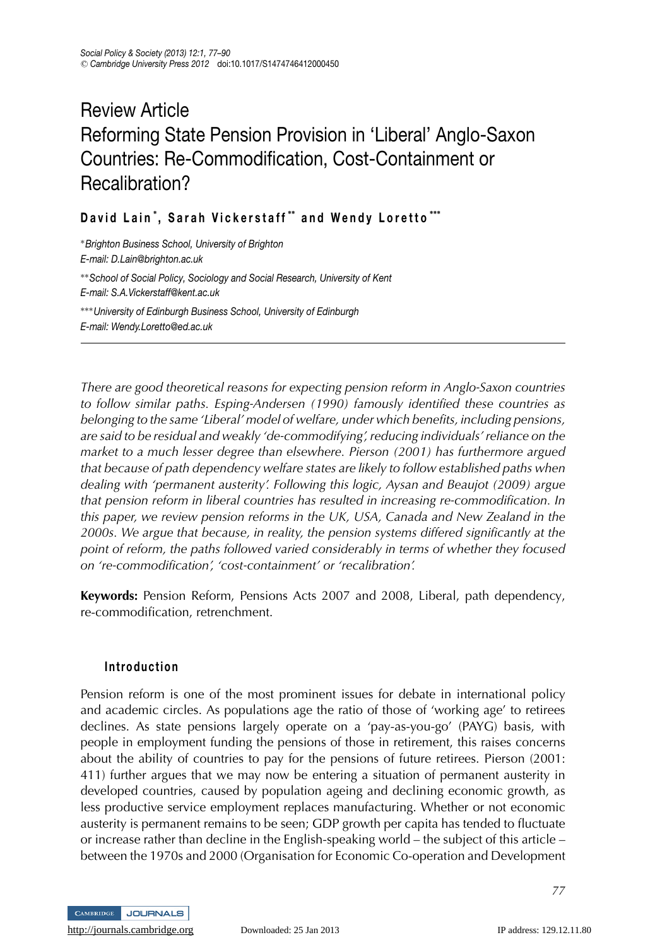## Review Article Reforming State Pension Provision in 'Liberal' Anglo-Saxon Countries: Re-Commodification, Cost-Containment or Recalibration?

#### **David Lain** <sup>∗</sup> **, Sarah Vickerstaff** ∗∗ **and Wendy Loretto** ∗∗∗

<sup>∗</sup>*Brighton Business School, University of Brighton E-mail: D.Lain@brighton.ac.uk* ∗∗*School of Social Policy, Sociology and Social Research, University of Kent E-mail: S.A.Vickerstaff@kent.ac.uk* ∗∗∗*University of Edinburgh Business School, University of Edinburgh E-mail: Wendy.Loretto@ed.ac.uk*

*There are good theoretical reasons for expecting pension reform in Anglo-Saxon countries to follow similar paths. Esping-Andersen (1990) famously identified these countries as belonging to the same 'Liberal' model of welfare, under which benefits, including pensions, are said to be residual and weakly 'de-commodifying', reducing individuals' reliance on the market to a much lesser degree than elsewhere. Pierson (2001) has furthermore argued that because of path dependency welfare states are likely to follow established paths when dealing with 'permanent austerity'. Following this logic, Aysan and Beaujot (2009) argue that pension reform in liberal countries has resulted in increasing re-commodification. In this paper, we review pension reforms in the UK, USA, Canada and New Zealand in the 2000s. We argue that because, in reality, the pension systems differed significantly at the point of reform, the paths followed varied considerably in terms of whether they focused on 're-commodification', 'cost-containment' or 'recalibration'.*

**Keywords:** Pension Reform, Pensions Acts 2007 and 2008, Liberal, path dependency, re-commodification, retrenchment.

#### **Introduction**

Pension reform is one of the most prominent issues for debate in international policy and academic circles. As populations age the ratio of those of 'working age' to retirees declines. As state pensions largely operate on a 'pay-as-you-go' (PAYG) basis, with people in employment funding the pensions of those in retirement, this raises concerns about the ability of countries to pay for the pensions of future retirees. Pierson (2001: 411) further argues that we may now be entering a situation of permanent austerity in developed countries, caused by population ageing and declining economic growth, as less productive service employment replaces manufacturing. Whether or not economic austerity is permanent remains to be seen; GDP growth per capita has tended to fluctuate or increase rather than decline in the English-speaking world – the subject of this article – between the 1970s and 2000 (Organisation for Economic Co-operation and Development

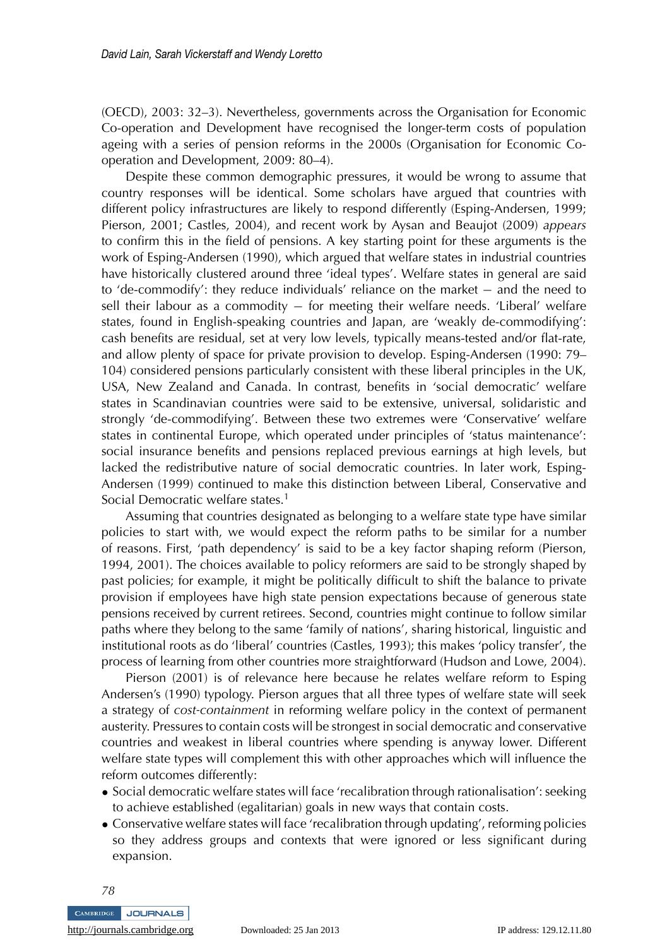(OECD), 2003: 32–3). Nevertheless, governments across the Organisation for Economic Co-operation and Development have recognised the longer-term costs of population ageing with a series of pension reforms in the 2000s (Organisation for Economic Cooperation and Development, 2009: 80–4).

Despite these common demographic pressures, it would be wrong to assume that country responses will be identical. Some scholars have argued that countries with different policy infrastructures are likely to respond differently (Esping-Andersen, 1999; Pierson, 2001; Castles, 2004), and recent work by Aysan and Beaujot (2009) *appears* to confirm this in the field of pensions. A key starting point for these arguments is the work of Esping-Andersen (1990), which argued that welfare states in industrial countries have historically clustered around three 'ideal types'. Welfare states in general are said to 'de-commodify': they reduce individuals' reliance on the market − and the need to sell their labour as a commodity – for meeting their welfare needs. 'Liberal' welfare states, found in English-speaking countries and Japan, are 'weakly de-commodifying': cash benefits are residual, set at very low levels, typically means-tested and/or flat-rate, and allow plenty of space for private provision to develop. Esping-Andersen (1990: 79– 104) considered pensions particularly consistent with these liberal principles in the UK, USA, New Zealand and Canada. In contrast, benefits in 'social democratic' welfare states in Scandinavian countries were said to be extensive, universal, solidaristic and strongly 'de-commodifying'. Between these two extremes were 'Conservative' welfare states in continental Europe, which operated under principles of 'status maintenance': social insurance benefits and pensions replaced previous earnings at high levels, but lacked the redistributive nature of social democratic countries. In later work, Esping-Andersen (1999) continued to make this distinction between Liberal, Conservative and Social Democratic welfare states.<sup>1</sup>

Assuming that countries designated as belonging to a welfare state type have similar policies to start with, we would expect the reform paths to be similar for a number of reasons. First, 'path dependency' is said to be a key factor shaping reform (Pierson, 1994, 2001). The choices available to policy reformers are said to be strongly shaped by past policies; for example, it might be politically difficult to shift the balance to private provision if employees have high state pension expectations because of generous state pensions received by current retirees. Second, countries might continue to follow similar paths where they belong to the same 'family of nations', sharing historical, linguistic and institutional roots as do 'liberal' countries (Castles, 1993); this makes 'policy transfer', the process of learning from other countries more straightforward (Hudson and Lowe, 2004).

Pierson (2001) is of relevance here because he relates welfare reform to Esping Andersen's (1990) typology. Pierson argues that all three types of welfare state will seek a strategy of *cost-containment* in reforming welfare policy in the context of permanent austerity. Pressures to contain costs will be strongest in social democratic and conservative countries and weakest in liberal countries where spending is anyway lower. Different welfare state types will complement this with other approaches which will influence the reform outcomes differently:

- Social democratic welfare states will face 'recalibration through rationalisation': seeking to achieve established (egalitarian) goals in new ways that contain costs.
- Conservative welfare states will face 'recalibration through updating', reforming policies so they address groups and contexts that were ignored or less significant during expansion.

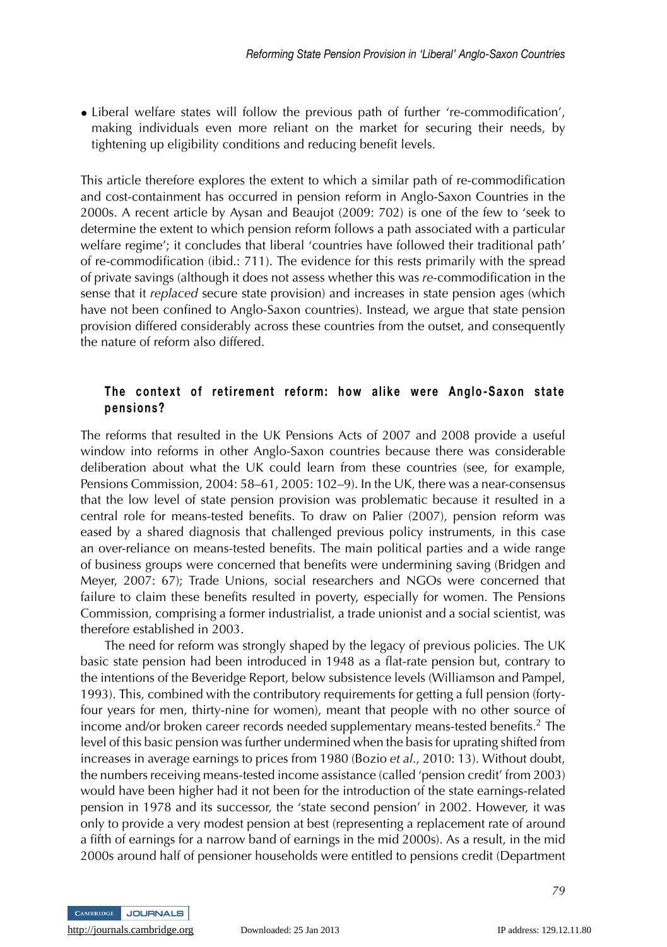• Liberal welfare states will follow the previous path of further 're-commodification', making individuals even more reliant on the market for securing their needs, by tightening up eligibility conditions and reducing benefit levels.

This article therefore explores the extent to which a similar path of re-commodification and cost-containment has occurred in pension reform in Anglo-Saxon Countries in the 2000s. A recent article by Aysan and Beaujot (2009: 702) is one of the few to 'seek to determine the extent to which pension reform follows a path associated with a particular welfare regime'; it concludes that liberal 'countries have followed their traditional path' of re-commodification (ibid.: 711). The evidence for this rests primarily with the spread of private savings (although it does not assess whether this was *re*-commodification in the sense that it *replaced* secure state provision) and increases in state pension ages (which have not been confined to Anglo-Saxon countries). Instead, we argue that state pension provision differed considerably across these countries from the outset, and consequently the nature of reform also differed.

#### **The context of retirement reform: how alike were Anglo-Saxon state pensions?**

The reforms that resulted in the UK Pensions Acts of 2007 and 2008 provide a useful window into reforms in other Anglo-Saxon countries because there was considerable deliberation about what the UK could learn from these countries (see, for example, Pensions Commission, 2004: 58–61, 2005: 102–9). In the UK, there was a near-consensus that the low level of state pension provision was problematic because it resulted in a central role for means-tested benefits. To draw on Palier (2007), pension reform was eased by a shared diagnosis that challenged previous policy instruments, in this case an over-reliance on means-tested benefits. The main political parties and a wide range of business groups were concerned that benefits were undermining saving (Bridgen and Meyer, 2007: 67); Trade Unions, social researchers and NGOs were concerned that failure to claim these benefits resulted in poverty, especially for women. The Pensions Commission, comprising a former industrialist, a trade unionist and a social scientist, was therefore established in 2003.

The need for reform was strongly shaped by the legacy of previous policies. The UK basic state pension had been introduced in 1948 as a flat-rate pension but, contrary to the intentions of the Beveridge Report, below subsistence levels (Williamson and Pampel, 1993). This, combined with the contributory requirements for getting a full pension (fortyfour years for men, thirty-nine for women), meant that people with no other source of income and/or broken career records needed supplementary means-tested benefits.<sup>2</sup> The level of this basic pension was further undermined when the basis for uprating shifted from increases in average earnings to prices from 1980 (Bozio *et al*., 2010: 13). Without doubt, the numbers receiving means-tested income assistance (called 'pension credit' from 2003) would have been higher had it not been for the introduction of the state earnings-related pension in 1978 and its successor, the 'state second pension' in 2002. However, it was only to provide a very modest pension at best (representing a replacement rate of around a fifth of earnings for a narrow band of earnings in the mid 2000s). As a result, in the mid 2000s around half of pensioner households were entitled to pensions credit (Department

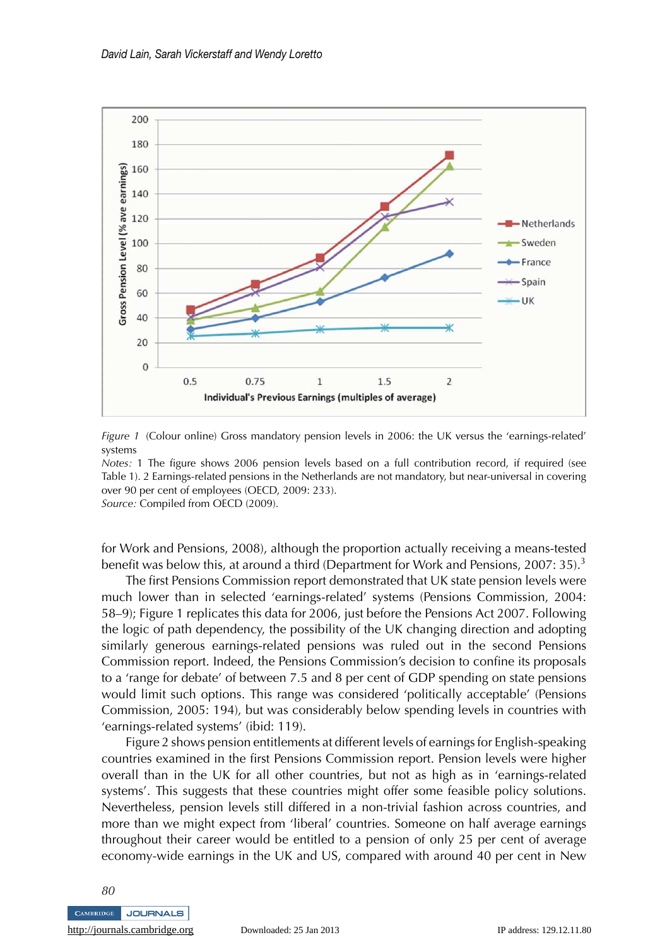



*Notes:* 1 The figure shows 2006 pension levels based on a full contribution record, if required (see Table 1). 2 Earnings-related pensions in the Netherlands are not mandatory, but near-universal in covering over 90 per cent of employees (OECD, 2009: 233). *Source:* Compiled from OECD (2009).

for Work and Pensions, 2008), although the proportion actually receiving a means-tested benefit was below this, at around a third (Department for Work and Pensions, 2007: 35).<sup>3</sup>

The first Pensions Commission report demonstrated that UK state pension levels were much lower than in selected 'earnings-related' systems (Pensions Commission, 2004: 58–9); Figure 1 replicates this data for 2006, just before the Pensions Act 2007. Following the logic of path dependency, the possibility of the UK changing direction and adopting similarly generous earnings-related pensions was ruled out in the second Pensions Commission report. Indeed, the Pensions Commission's decision to confine its proposals to a 'range for debate' of between 7.5 and 8 per cent of GDP spending on state pensions would limit such options. This range was considered 'politically acceptable' (Pensions Commission, 2005: 194), but was considerably below spending levels in countries with 'earnings-related systems' (ibid: 119).

Figure 2 shows pension entitlements at different levels of earnings for English-speaking countries examined in the first Pensions Commission report. Pension levels were higher overall than in the UK for all other countries, but not as high as in 'earnings-related systems'. This suggests that these countries might offer some feasible policy solutions. Nevertheless, pension levels still differed in a non-trivial fashion across countries, and more than we might expect from 'liberal' countries. Someone on half average earnings throughout their career would be entitled to a pension of only 25 per cent of average economy-wide earnings in the UK and US, compared with around 40 per cent in New

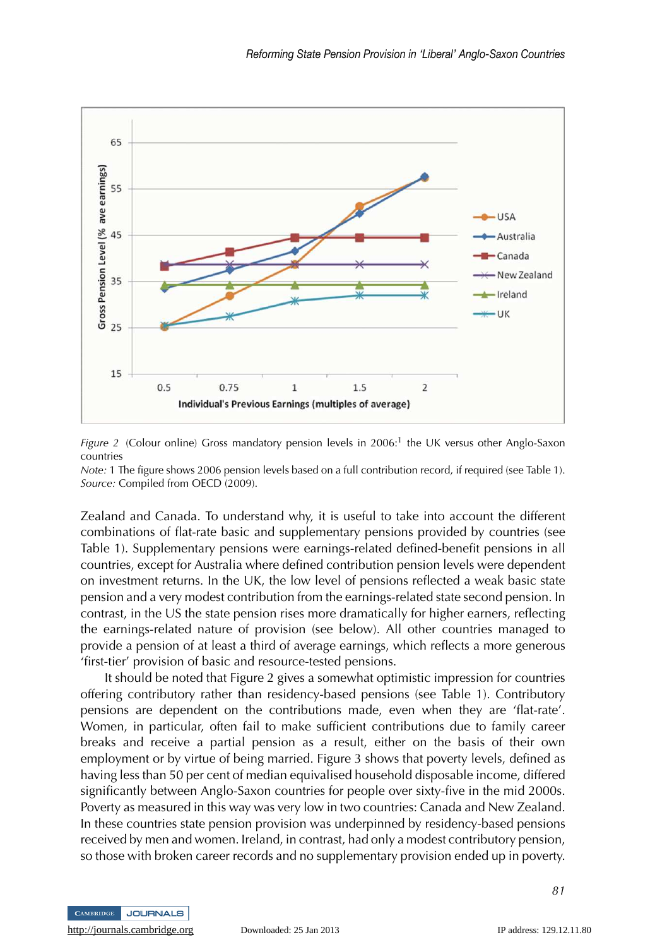

Figure 2 (Colour online) Gross mandatory pension levels in 2006:<sup>1</sup> the UK versus other Anglo-Saxon countries

*Note:* 1 The figure shows 2006 pension levels based on a full contribution record, if required (see Table 1). *Source:* Compiled from OECD (2009).

Zealand and Canada. To understand why, it is useful to take into account the different combinations of flat-rate basic and supplementary pensions provided by countries (see Table 1). Supplementary pensions were earnings-related defined-benefit pensions in all countries, except for Australia where defined contribution pension levels were dependent on investment returns. In the UK, the low level of pensions reflected a weak basic state pension and a very modest contribution from the earnings-related state second pension. In contrast, in the US the state pension rises more dramatically for higher earners, reflecting the earnings-related nature of provision (see below). All other countries managed to provide a pension of at least a third of average earnings, which reflects a more generous 'first-tier' provision of basic and resource-tested pensions.

It should be noted that Figure 2 gives a somewhat optimistic impression for countries offering contributory rather than residency-based pensions (see Table 1). Contributory pensions are dependent on the contributions made, even when they are 'flat-rate'. Women, in particular, often fail to make sufficient contributions due to family career breaks and receive a partial pension as a result, either on the basis of their own employment or by virtue of being married. Figure 3 shows that poverty levels, defined as having less than 50 per cent of median equivalised household disposable income, differed significantly between Anglo-Saxon countries for people over sixty-five in the mid 2000s. Poverty as measured in this way was very low in two countries: Canada and New Zealand. In these countries state pension provision was underpinned by residency-based pensions received by men and women. Ireland, in contrast, had only a modest contributory pension, so those with broken career records and no supplementary provision ended up in poverty.

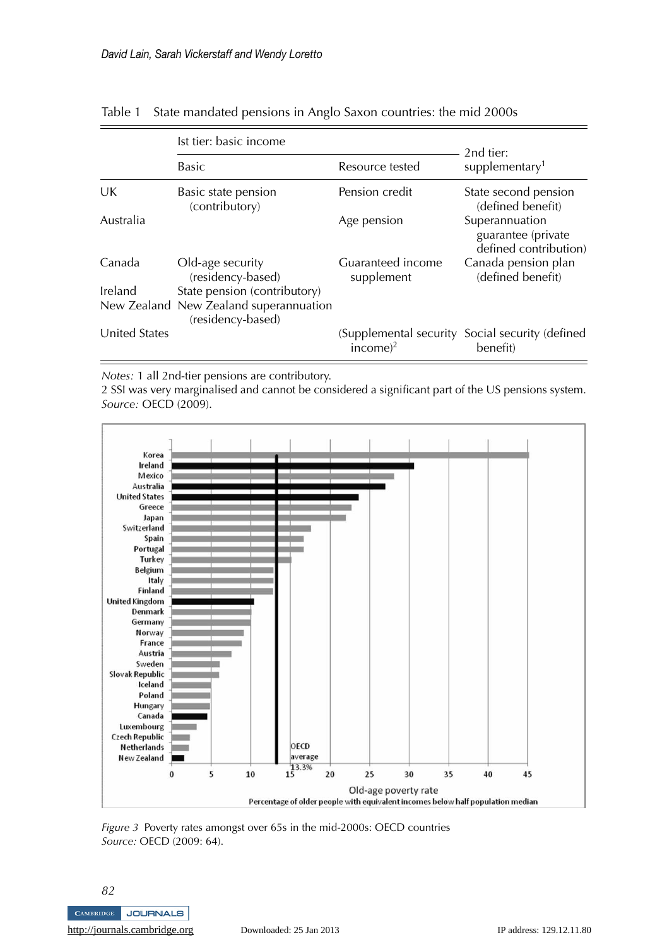|                      | Ist tier: basic income                                      |                                 | 2nd tier:                                                     |
|----------------------|-------------------------------------------------------------|---------------------------------|---------------------------------------------------------------|
|                      | <b>Basic</b>                                                | Resource tested                 | supplementary <sup>1</sup>                                    |
| UK                   | Basic state pension<br>(contributory)                       | Pension credit                  | State second pension<br>(defined benefit)                     |
| Australia            |                                                             | Age pension                     | Superannuation<br>guarantee (private<br>defined contribution) |
| Canada               | Old-age security<br>(residency-based)                       | Guaranteed income<br>supplement | Canada pension plan<br>(defined benefit)                      |
| Ireland              | State pension (contributory)                                |                                 |                                                               |
|                      | New Zealand New Zealand superannuation<br>(residency-based) |                                 |                                                               |
| <b>United States</b> |                                                             | income $)^2$                    | (Supplemental security Social security (defined)<br>benefit)  |

Table 1 State mandated pensions in Anglo Saxon countries: the mid 2000s

*Notes:* 1 all 2nd-tier pensions are contributory.

2 SSI was very marginalised and cannot be considered a significant part of the US pensions system. *Source:* OECD (2009).



*Figure 3* Poverty rates amongst over 65s in the mid-2000s: OECD countries *Source:* OECD (2009: 64).

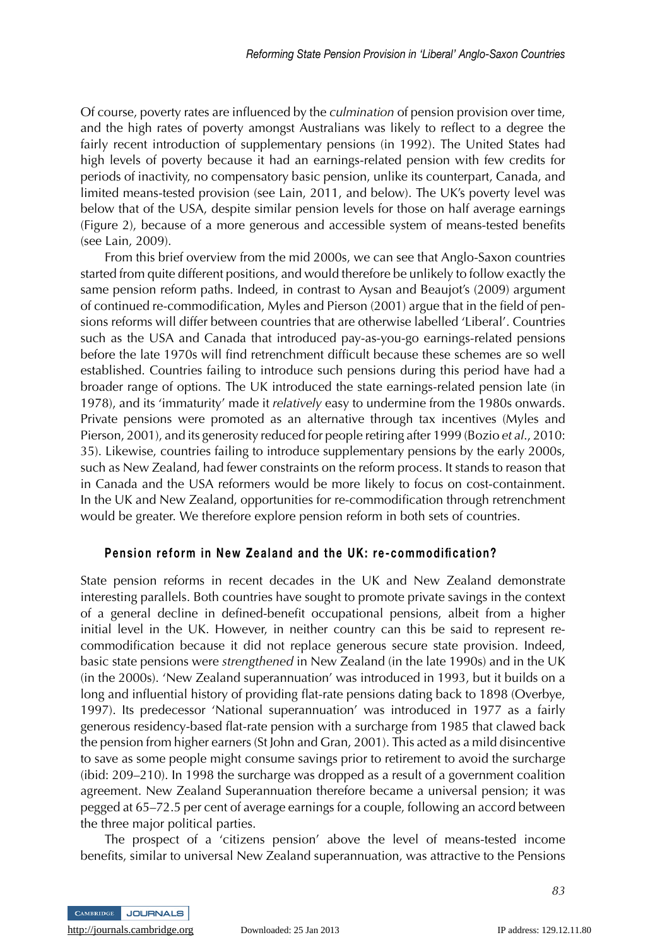Of course, poverty rates are influenced by the *culmination* of pension provision over time, and the high rates of poverty amongst Australians was likely to reflect to a degree the fairly recent introduction of supplementary pensions (in 1992). The United States had high levels of poverty because it had an earnings-related pension with few credits for periods of inactivity, no compensatory basic pension, unlike its counterpart, Canada, and limited means-tested provision (see Lain, 2011, and below). The UK's poverty level was below that of the USA, despite similar pension levels for those on half average earnings (Figure 2), because of a more generous and accessible system of means-tested benefits (see Lain, 2009).

From this brief overview from the mid 2000s, we can see that Anglo-Saxon countries started from quite different positions, and would therefore be unlikely to follow exactly the same pension reform paths. Indeed, in contrast to Aysan and Beaujot's (2009) argument of continued re-commodification, Myles and Pierson (2001) argue that in the field of pensions reforms will differ between countries that are otherwise labelled 'Liberal'. Countries such as the USA and Canada that introduced pay-as-you-go earnings-related pensions before the late 1970s will find retrenchment difficult because these schemes are so well established. Countries failing to introduce such pensions during this period have had a broader range of options. The UK introduced the state earnings-related pension late (in 1978), and its 'immaturity' made it *relatively* easy to undermine from the 1980s onwards. Private pensions were promoted as an alternative through tax incentives (Myles and Pierson, 2001), and its generosity reduced for people retiring after 1999 (Bozio *et al*., 2010: 35). Likewise, countries failing to introduce supplementary pensions by the early 2000s, such as New Zealand, had fewer constraints on the reform process. It stands to reason that in Canada and the USA reformers would be more likely to focus on cost-containment. In the UK and New Zealand, opportunities for re-commodification through retrenchment would be greater. We therefore explore pension reform in both sets of countries.

#### **Pension reform in New Zealand and the UK: re-commodification?**

State pension reforms in recent decades in the UK and New Zealand demonstrate interesting parallels. Both countries have sought to promote private savings in the context of a general decline in defined-benefit occupational pensions, albeit from a higher initial level in the UK. However, in neither country can this be said to represent recommodification because it did not replace generous secure state provision. Indeed, basic state pensions were *strengthened* in New Zealand (in the late 1990s) and in the UK (in the 2000s). 'New Zealand superannuation' was introduced in 1993, but it builds on a long and influential history of providing flat-rate pensions dating back to 1898 (Overbye, 1997). Its predecessor 'National superannuation' was introduced in 1977 as a fairly generous residency-based flat-rate pension with a surcharge from 1985 that clawed back the pension from higher earners (St John and Gran, 2001). This acted as a mild disincentive to save as some people might consume savings prior to retirement to avoid the surcharge (ibid: 209–210). In 1998 the surcharge was dropped as a result of a government coalition agreement. New Zealand Superannuation therefore became a universal pension; it was pegged at 65–72.5 per cent of average earnings for a couple, following an accord between the three major political parties.

The prospect of a 'citizens pension' above the level of means-tested income benefits, similar to universal New Zealand superannuation, was attractive to the Pensions



<http://journals.cambridge.org> Downloaded: 25 Jan 2013 IP address: 129.12.11.80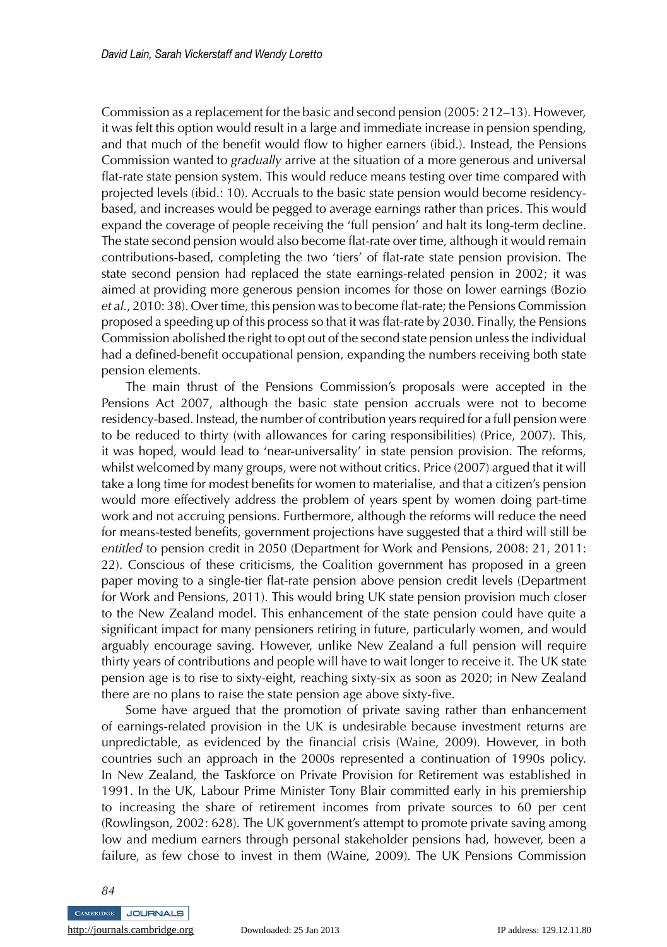Commission as a replacement for the basic and second pension (2005: 212–13). However, it was felt this option would result in a large and immediate increase in pension spending, and that much of the benefit would flow to higher earners (ibid.). Instead, the Pensions Commission wanted to *gradually* arrive at the situation of a more generous and universal flat-rate state pension system. This would reduce means testing over time compared with projected levels (ibid.: 10). Accruals to the basic state pension would become residencybased, and increases would be pegged to average earnings rather than prices. This would expand the coverage of people receiving the 'full pension' and halt its long-term decline. The state second pension would also become flat-rate over time, although it would remain contributions-based, completing the two 'tiers' of flat-rate state pension provision. The state second pension had replaced the state earnings-related pension in 2002; it was aimed at providing more generous pension incomes for those on lower earnings (Bozio *et al*., 2010: 38). Over time, this pension was to become flat-rate; the Pensions Commission proposed a speeding up of this process so that it was flat-rate by 2030. Finally, the Pensions Commission abolished the right to opt out of the second state pension unless the individual had a defined-benefit occupational pension, expanding the numbers receiving both state pension elements.

The main thrust of the Pensions Commission's proposals were accepted in the Pensions Act 2007, although the basic state pension accruals were not to become residency-based. Instead, the number of contribution years required for a full pension were to be reduced to thirty (with allowances for caring responsibilities) (Price, 2007). This, it was hoped, would lead to 'near-universality' in state pension provision. The reforms, whilst welcomed by many groups, were not without critics. Price (2007) argued that it will take a long time for modest benefits for women to materialise, and that a citizen's pension would more effectively address the problem of years spent by women doing part-time work and not accruing pensions. Furthermore, although the reforms will reduce the need for means-tested benefits, government projections have suggested that a third will still be *entitled* to pension credit in 2050 (Department for Work and Pensions, 2008: 21, 2011: 22). Conscious of these criticisms, the Coalition government has proposed in a green paper moving to a single-tier flat-rate pension above pension credit levels (Department for Work and Pensions, 2011). This would bring UK state pension provision much closer to the New Zealand model. This enhancement of the state pension could have quite a significant impact for many pensioners retiring in future, particularly women, and would arguably encourage saving. However, unlike New Zealand a full pension will require thirty years of contributions and people will have to wait longer to receive it. The UK state pension age is to rise to sixty-eight, reaching sixty-six as soon as 2020; in New Zealand there are no plans to raise the state pension age above sixty-five.

Some have argued that the promotion of private saving rather than enhancement of earnings-related provision in the UK is undesirable because investment returns are unpredictable, as evidenced by the financial crisis (Waine, 2009). However, in both countries such an approach in the 2000s represented a continuation of 1990s policy. In New Zealand, the Taskforce on Private Provision for Retirement was established in 1991. In the UK, Labour Prime Minister Tony Blair committed early in his premiership to increasing the share of retirement incomes from private sources to 60 per cent (Rowlingson, 2002: 628). The UK government's attempt to promote private saving among low and medium earners through personal stakeholder pensions had, however, been a failure, as few chose to invest in them (Waine, 2009). The UK Pensions Commission

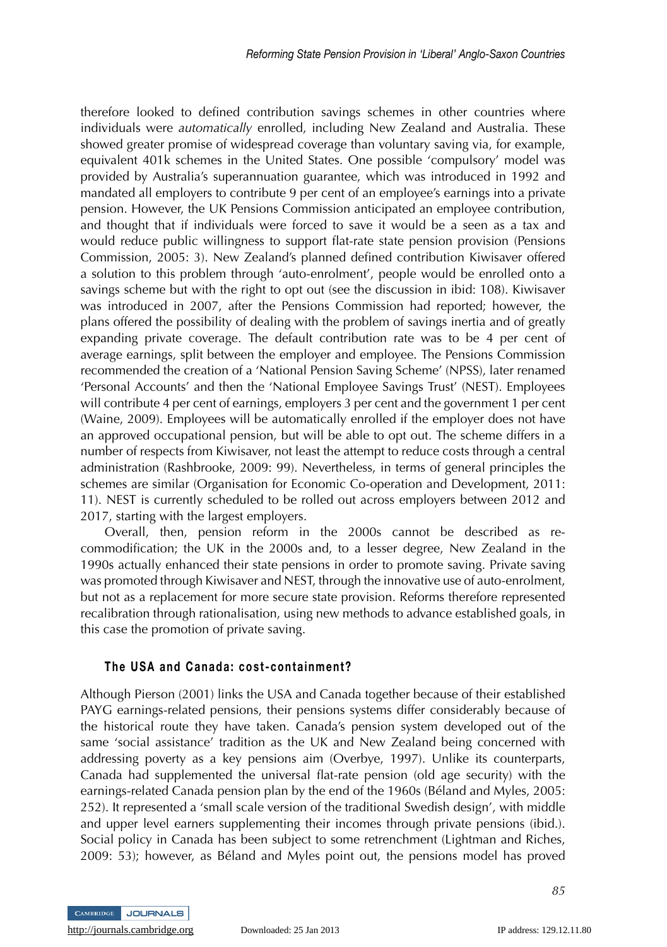therefore looked to defined contribution savings schemes in other countries where individuals were *automatically* enrolled, including New Zealand and Australia. These showed greater promise of widespread coverage than voluntary saving via, for example, equivalent 401k schemes in the United States. One possible 'compulsory' model was provided by Australia's superannuation guarantee, which was introduced in 1992 and mandated all employers to contribute 9 per cent of an employee's earnings into a private pension. However, the UK Pensions Commission anticipated an employee contribution, and thought that if individuals were forced to save it would be a seen as a tax and would reduce public willingness to support flat-rate state pension provision (Pensions Commission, 2005: 3). New Zealand's planned defined contribution Kiwisaver offered a solution to this problem through 'auto-enrolment', people would be enrolled onto a savings scheme but with the right to opt out (see the discussion in ibid: 108). Kiwisaver was introduced in 2007, after the Pensions Commission had reported; however, the plans offered the possibility of dealing with the problem of savings inertia and of greatly expanding private coverage. The default contribution rate was to be 4 per cent of average earnings, split between the employer and employee. The Pensions Commission recommended the creation of a 'National Pension Saving Scheme' (NPSS), later renamed 'Personal Accounts' and then the 'National Employee Savings Trust' (NEST). Employees will contribute 4 per cent of earnings, employers 3 per cent and the government 1 per cent (Waine, 2009). Employees will be automatically enrolled if the employer does not have an approved occupational pension, but will be able to opt out. The scheme differs in a number of respects from Kiwisaver, not least the attempt to reduce costs through a central administration (Rashbrooke, 2009: 99). Nevertheless, in terms of general principles the schemes are similar (Organisation for Economic Co-operation and Development, 2011: 11). NEST is currently scheduled to be rolled out across employers between 2012 and 2017, starting with the largest employers.

Overall, then, pension reform in the 2000s cannot be described as recommodification; the UK in the 2000s and, to a lesser degree, New Zealand in the 1990s actually enhanced their state pensions in order to promote saving. Private saving was promoted through Kiwisaver and NEST, through the innovative use of auto-enrolment, but not as a replacement for more secure state provision. Reforms therefore represented recalibration through rationalisation, using new methods to advance established goals, in this case the promotion of private saving.

#### **The USA and Canada: cost-containment?**

Although Pierson (2001) links the USA and Canada together because of their established PAYG earnings-related pensions, their pensions systems differ considerably because of the historical route they have taken. Canada's pension system developed out of the same 'social assistance' tradition as the UK and New Zealand being concerned with addressing poverty as a key pensions aim (Overbye, 1997). Unlike its counterparts, Canada had supplemented the universal flat-rate pension (old age security) with the earnings-related Canada pension plan by the end of the 1960s (Beland and Myles, 2005: ´ 252). It represented a 'small scale version of the traditional Swedish design', with middle and upper level earners supplementing their incomes through private pensions (ibid.). Social policy in Canada has been subject to some retrenchment (Lightman and Riches, 2009: 53); however, as Beland and Myles point out, the pensions model has proved ´

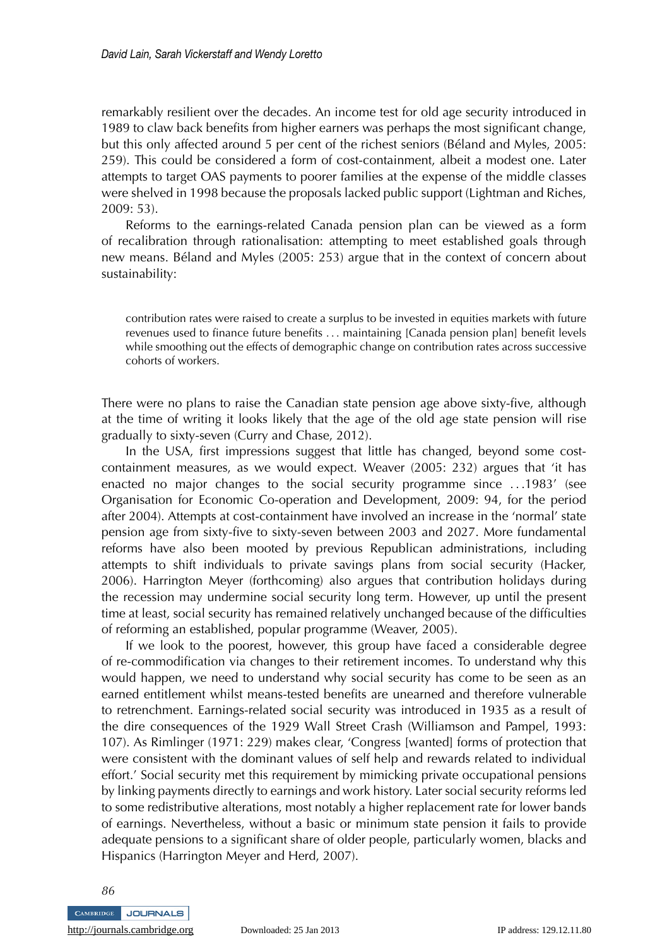remarkably resilient over the decades. An income test for old age security introduced in 1989 to claw back benefits from higher earners was perhaps the most significant change, but this only affected around 5 per cent of the richest seniors (Beland and Myles, 2005: ´ 259). This could be considered a form of cost-containment, albeit a modest one. Later attempts to target OAS payments to poorer families at the expense of the middle classes were shelved in 1998 because the proposals lacked public support (Lightman and Riches, 2009: 53).

Reforms to the earnings-related Canada pension plan can be viewed as a form of recalibration through rationalisation: attempting to meet established goals through new means. Beland and Myles (2005: 253) argue that in the context of concern about ´ sustainability:

contribution rates were raised to create a surplus to be invested in equities markets with future revenues used to finance future benefits ... maintaining [Canada pension plan] benefit levels while smoothing out the effects of demographic change on contribution rates across successive cohorts of workers.

There were no plans to raise the Canadian state pension age above sixty-five, although at the time of writing it looks likely that the age of the old age state pension will rise gradually to sixty-seven (Curry and Chase, 2012).

In the USA, first impressions suggest that little has changed, beyond some costcontainment measures, as we would expect. Weaver (2005: 232) argues that 'it has enacted no major changes to the social security programme since ...1983' (see Organisation for Economic Co-operation and Development, 2009: 94, for the period after 2004). Attempts at cost-containment have involved an increase in the 'normal' state pension age from sixty-five to sixty-seven between 2003 and 2027. More fundamental reforms have also been mooted by previous Republican administrations, including attempts to shift individuals to private savings plans from social security (Hacker, 2006). Harrington Meyer (forthcoming) also argues that contribution holidays during the recession may undermine social security long term. However, up until the present time at least, social security has remained relatively unchanged because of the difficulties of reforming an established, popular programme (Weaver, 2005).

If we look to the poorest, however, this group have faced a considerable degree of re-commodification via changes to their retirement incomes. To understand why this would happen, we need to understand why social security has come to be seen as an earned entitlement whilst means-tested benefits are unearned and therefore vulnerable to retrenchment. Earnings-related social security was introduced in 1935 as a result of the dire consequences of the 1929 Wall Street Crash (Williamson and Pampel, 1993: 107). As Rimlinger (1971: 229) makes clear, 'Congress [wanted] forms of protection that were consistent with the dominant values of self help and rewards related to individual effort.' Social security met this requirement by mimicking private occupational pensions by linking payments directly to earnings and work history. Later social security reforms led to some redistributive alterations, most notably a higher replacement rate for lower bands of earnings. Nevertheless, without a basic or minimum state pension it fails to provide adequate pensions to a significant share of older people, particularly women, blacks and Hispanics (Harrington Meyer and Herd, 2007).

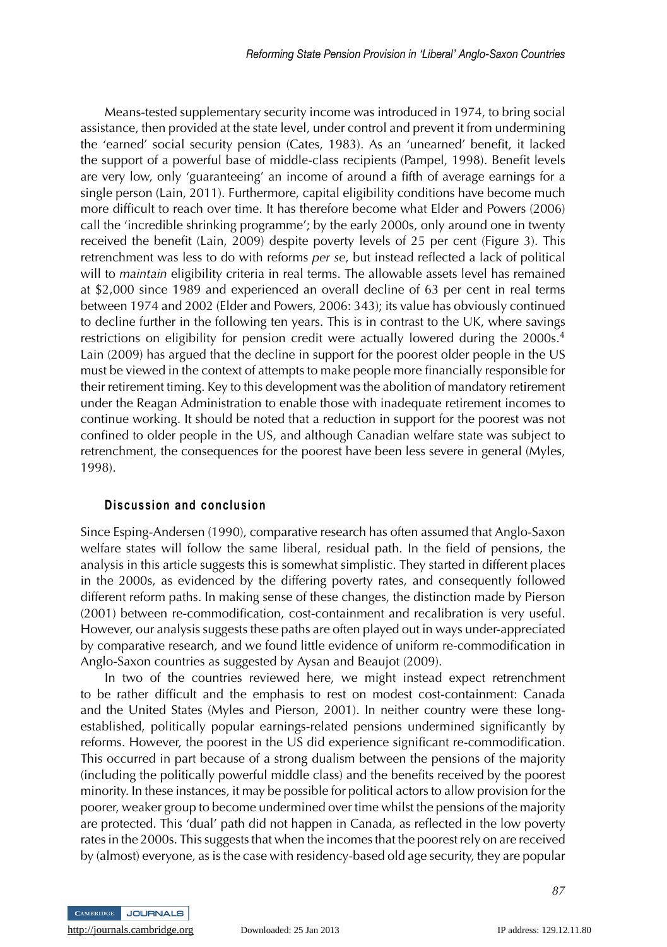Means-tested supplementary security income was introduced in 1974, to bring social assistance, then provided at the state level, under control and prevent it from undermining the 'earned' social security pension (Cates, 1983). As an 'unearned' benefit, it lacked the support of a powerful base of middle-class recipients (Pampel, 1998). Benefit levels are very low, only 'guaranteeing' an income of around a fifth of average earnings for a single person (Lain, 2011). Furthermore, capital eligibility conditions have become much more difficult to reach over time. It has therefore become what Elder and Powers (2006) call the 'incredible shrinking programme'; by the early 2000s, only around one in twenty received the benefit (Lain, 2009) despite poverty levels of 25 per cent (Figure 3). This retrenchment was less to do with reforms *per se*, but instead reflected a lack of political will to *maintain* eligibility criteria in real terms. The allowable assets level has remained at \$2,000 since 1989 and experienced an overall decline of 63 per cent in real terms between 1974 and 2002 (Elder and Powers, 2006: 343); its value has obviously continued to decline further in the following ten years. This is in contrast to the UK, where savings restrictions on eligibility for pension credit were actually lowered during the 2000s.<sup>4</sup> Lain (2009) has argued that the decline in support for the poorest older people in the US must be viewed in the context of attempts to make people more financially responsible for their retirement timing. Key to this development was the abolition of mandatory retirement under the Reagan Administration to enable those with inadequate retirement incomes to continue working. It should be noted that a reduction in support for the poorest was not confined to older people in the US, and although Canadian welfare state was subject to retrenchment, the consequences for the poorest have been less severe in general (Myles, 1998).

#### **Discussion and conclusion**

Since Esping-Andersen (1990), comparative research has often assumed that Anglo-Saxon welfare states will follow the same liberal, residual path. In the field of pensions, the analysis in this article suggests this is somewhat simplistic. They started in different places in the 2000s, as evidenced by the differing poverty rates, and consequently followed different reform paths. In making sense of these changes, the distinction made by Pierson (2001) between re-commodification, cost-containment and recalibration is very useful. However, our analysis suggests these paths are often played out in ways under-appreciated by comparative research, and we found little evidence of uniform re-commodification in Anglo-Saxon countries as suggested by Aysan and Beaujot (2009).

In two of the countries reviewed here, we might instead expect retrenchment to be rather difficult and the emphasis to rest on modest cost-containment: Canada and the United States (Myles and Pierson, 2001). In neither country were these longestablished, politically popular earnings-related pensions undermined significantly by reforms. However, the poorest in the US did experience significant re-commodification. This occurred in part because of a strong dualism between the pensions of the majority (including the politically powerful middle class) and the benefits received by the poorest minority. In these instances, it may be possible for political actors to allow provision for the poorer, weaker group to become undermined over time whilst the pensions of the majority are protected. This 'dual' path did not happen in Canada, as reflected in the low poverty rates in the 2000s. This suggests that when the incomes that the poorest rely on are received by (almost) everyone, as is the case with residency-based old age security, they are popular

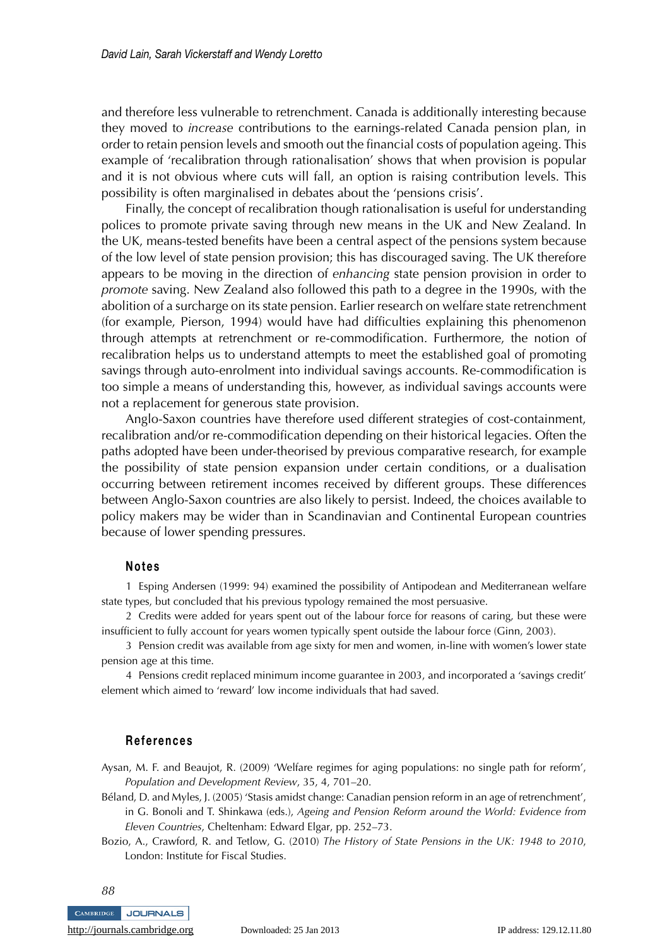and therefore less vulnerable to retrenchment. Canada is additionally interesting because they moved to *increase* contributions to the earnings-related Canada pension plan, in order to retain pension levels and smooth out the financial costs of population ageing. This example of 'recalibration through rationalisation' shows that when provision is popular and it is not obvious where cuts will fall, an option is raising contribution levels. This possibility is often marginalised in debates about the 'pensions crisis'.

Finally, the concept of recalibration though rationalisation is useful for understanding polices to promote private saving through new means in the UK and New Zealand. In the UK, means-tested benefits have been a central aspect of the pensions system because of the low level of state pension provision; this has discouraged saving. The UK therefore appears to be moving in the direction of *enhancing* state pension provision in order to *promote* saving. New Zealand also followed this path to a degree in the 1990s, with the abolition of a surcharge on its state pension. Earlier research on welfare state retrenchment (for example, Pierson, 1994) would have had difficulties explaining this phenomenon through attempts at retrenchment or re-commodification. Furthermore, the notion of recalibration helps us to understand attempts to meet the established goal of promoting savings through auto-enrolment into individual savings accounts. Re-commodification is too simple a means of understanding this, however, as individual savings accounts were not a replacement for generous state provision.

Anglo-Saxon countries have therefore used different strategies of cost-containment, recalibration and/or re-commodification depending on their historical legacies. Often the paths adopted have been under-theorised by previous comparative research, for example the possibility of state pension expansion under certain conditions, or a dualisation occurring between retirement incomes received by different groups. These differences between Anglo-Saxon countries are also likely to persist. Indeed, the choices available to policy makers may be wider than in Scandinavian and Continental European countries because of lower spending pressures.

#### **Notes**

1 Esping Andersen (1999: 94) examined the possibility of Antipodean and Mediterranean welfare state types, but concluded that his previous typology remained the most persuasive.

2 Credits were added for years spent out of the labour force for reasons of caring, but these were insufficient to fully account for years women typically spent outside the labour force (Ginn, 2003).

3 Pension credit was available from age sixty for men and women, in-line with women's lower state pension age at this time.

4 Pensions credit replaced minimum income guarantee in 2003, and incorporated a 'savings credit' element which aimed to 'reward' low income individuals that had saved.

#### **References**

Aysan, M. F. and Beaujot, R. (2009) 'Welfare regimes for aging populations: no single path for reform', *Population and Development Review*, 35, 4, 701–20.

- Béland, D. and Myles, J. (2005) 'Stasis amidst change: Canadian pension reform in an age of retrenchment', in G. Bonoli and T. Shinkawa (eds.), *Ageing and Pension Reform around the World: Evidence from Eleven Countries*, Cheltenham: Edward Elgar, pp. 252–73.
- Bozio, A., Crawford, R. and Tetlow, G. (2010) *The History of State Pensions in the UK: 1948 to 2010*, London: Institute for Fiscal Studies.

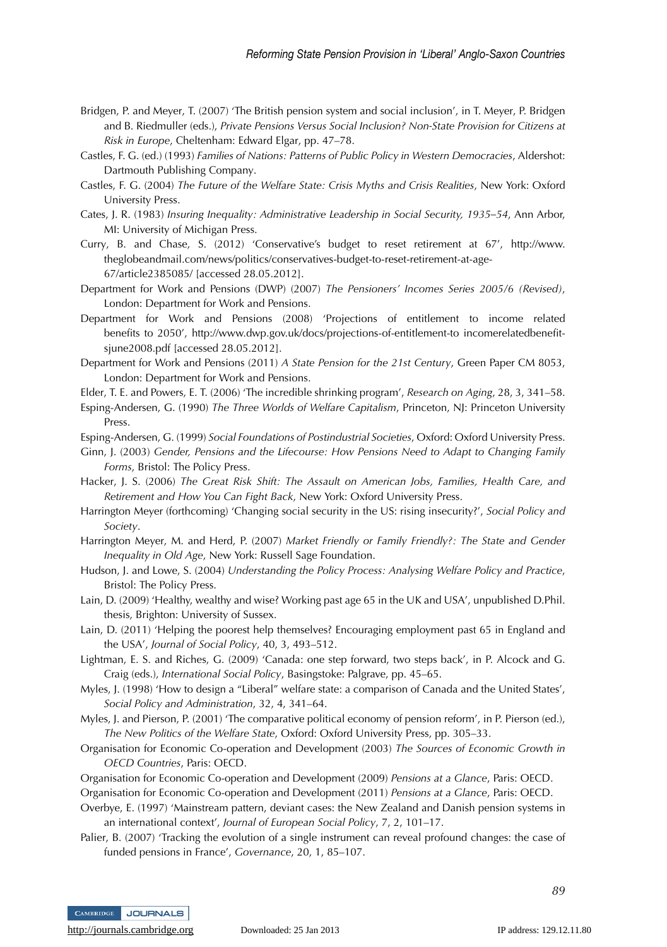- Bridgen, P. and Meyer, T. (2007) 'The British pension system and social inclusion', in T. Meyer, P. Bridgen and B. Riedmuller (eds.), *Private Pensions Versus Social Inclusion? Non-State Provision for Citizens at Risk in Europe*, Cheltenham: Edward Elgar, pp. 47–78.
- Castles, F. G. (ed.) (1993) *Families of Nations: Patterns of Public Policy in Western Democracies*, Aldershot: Dartmouth Publishing Company.
- Castles, F. G. (2004) *The Future of the Welfare State: Crisis Myths and Crisis Realities*, New York: Oxford University Press.
- Cates, J. R. (1983) *Insuring Inequality: Administrative Leadership in Social Security, 1935–54*, Ann Arbor, MI: University of Michigan Press.
- Curry, B. and Chase, S. (2012) 'Conservative's budget to reset retirement at 67', http://www. theglobeandmail.com/news/politics/conservatives-budget-to-reset-retirement-at-age-67/article2385085/ [accessed 28.05.2012].
- Department for Work and Pensions (DWP) (2007) *The Pensioners' Incomes Series 2005/6 (Revised)*, London: Department for Work and Pensions.
- Department for Work and Pensions (2008) 'Projections of entitlement to income related benefits to 2050', http://www.dwp.gov.uk/docs/projections-of-entitlement-to incomerelatedbenefitsjune2008.pdf [accessed 28.05.2012].
- Department for Work and Pensions (2011) *A State Pension for the 21st Century*, Green Paper CM 8053, London: Department for Work and Pensions.
- Elder, T. E. and Powers, E. T. (2006) 'The incredible shrinking program', *Research on Aging*, 28, 3, 341–58.
- Esping-Andersen, G. (1990) *The Three Worlds of Welfare Capitalism*, Princeton, NJ: Princeton University Press.

Esping-Andersen, G. (1999) *Social Foundations of Postindustrial Societies*, Oxford: Oxford University Press.

- Ginn, J. (2003) *Gender, Pensions and the Lifecourse: How Pensions Need to Adapt to Changing Family Forms*, Bristol: The Policy Press.
- Hacker, J. S. (2006) *The Great Risk Shift: The Assault on American Jobs, Families, Health Care, and Retirement and How You Can Fight Back*, New York: Oxford University Press.
- Harrington Meyer (forthcoming) 'Changing social security in the US: rising insecurity?', *Social Policy and Society*.
- Harrington Meyer, M. and Herd, P. (2007) *Market Friendly or Family Friendly?: The State and Gender Inequality in Old Age*, New York: Russell Sage Foundation.
- Hudson, J. and Lowe, S. (2004) *Understanding the Policy Process: Analysing Welfare Policy and Practice*, Bristol: The Policy Press.
- Lain, D. (2009) 'Healthy, wealthy and wise? Working past age 65 in the UK and USA', unpublished D.Phil. thesis, Brighton: University of Sussex.
- Lain, D. (2011) 'Helping the poorest help themselves? Encouraging employment past 65 in England and the USA', *Journal of Social Policy*, 40, 3, 493–512.
- Lightman, E. S. and Riches, G. (2009) 'Canada: one step forward, two steps back', in P. Alcock and G. Craig (eds.), *International Social Policy*, Basingstoke: Palgrave, pp. 45–65.
- Myles, J. (1998) 'How to design a "Liberal" welfare state: a comparison of Canada and the United States', *Social Policy and Administration*, 32, 4, 341–64.
- Myles, J. and Pierson, P. (2001) 'The comparative political economy of pension reform', in P. Pierson (ed.), *The New Politics of the Welfare State*, Oxford: Oxford University Press, pp. 305–33.
- Organisation for Economic Co-operation and Development (2003) *The Sources of Economic Growth in OECD Countries*, Paris: OECD.
- Organisation for Economic Co-operation and Development (2009) *Pensions at a Glance*, Paris: OECD.
- Organisation for Economic Co-operation and Development (2011) *Pensions at a Glance*, Paris: OECD.
- Overbye, E. (1997) 'Mainstream pattern, deviant cases: the New Zealand and Danish pension systems in an international context', *Journal of European Social Policy*, 7, 2, 101–17.
- Palier, B. (2007) 'Tracking the evolution of a single instrument can reveal profound changes: the case of funded pensions in France', *Governance*, 20, 1, 85–107.